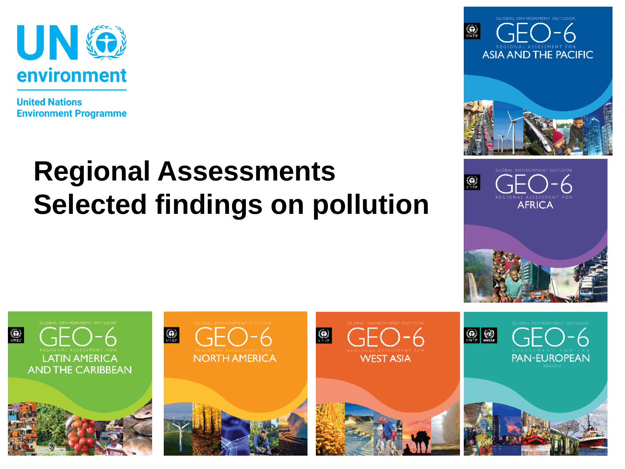

#### **Regional Assessments Selected findings on pollution**







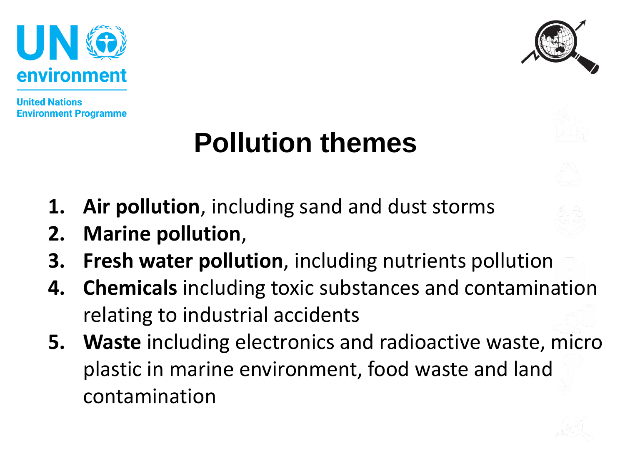



#### **Pollution themes**

- **1. Air pollution**, including sand and dust storms
- **2. Marine pollution**,
- **3. Fresh water pollution**, including nutrients pollution
- **4. Chemicals** including toxic substances and contamination relating to industrial accidents
- **5. Waste** including electronics and radioactive waste, micro plastic in marine environment, food waste and land contamination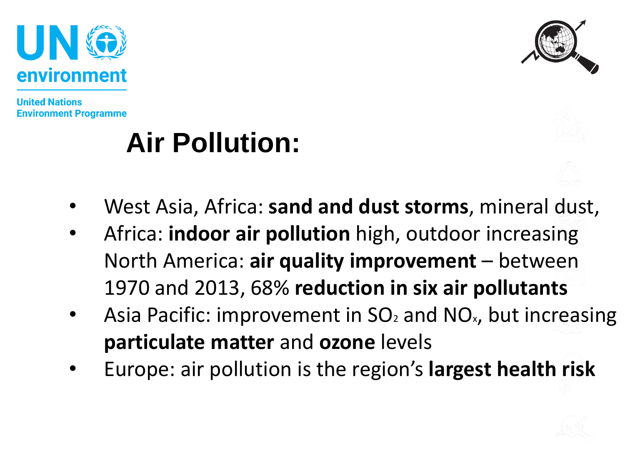



## **Air Pollution:**

- West Asia, Africa: **sand and dust storms**, mineral dust,
- Africa: **indoor air pollution** high, outdoor increasing North America: **air quality improvement** – between 1970 and 2013, 68% **reduction in six air pollutants**
- Asia Pacific: improvement in  $SO<sub>2</sub>$  and  $NO<sub>x</sub>$ , but increasing **particulate matter** and **ozone** levels
- Europe: air pollution is the region's **largest health risk**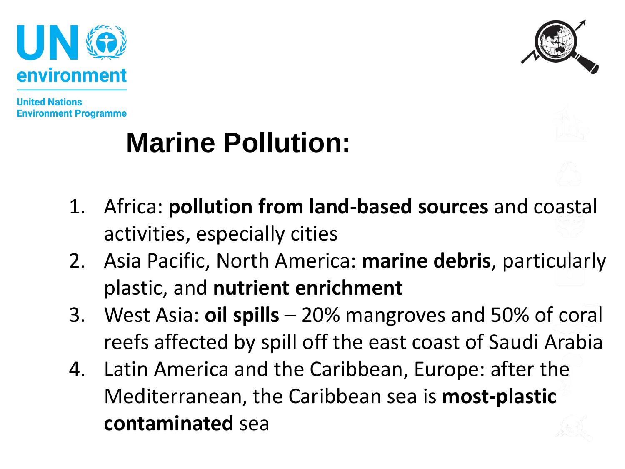



## **Marine Pollution:**

- 1. Africa: **pollution from land-based sources** and coastal activities, especially cities
- 2. Asia Pacific, North America: **marine debris**, particularly plastic, and **nutrient enrichment**
- 3. West Asia: **oil spills**  20% mangroves and 50% of coral reefs affected by spill off the east coast of Saudi Arabia
- 4. Latin America and the Caribbean, Europe: after the Mediterranean, the Caribbean sea is **most-plastic contaminated** sea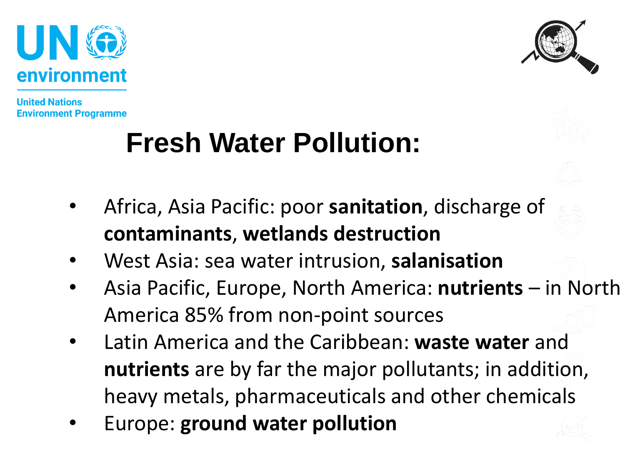



## **Fresh Water Pollution:**

- Africa, Asia Pacific: poor **sanitation**, discharge of **contaminants**, **wetlands destruction**
- West Asia: sea water intrusion, **salanisation**
- Asia Pacific, Europe, North America: **nutrients** in North America 85% from non-point sources
- Latin America and the Caribbean: **waste water** and **nutrients** are by far the major pollutants; in addition, heavy metals, pharmaceuticals and other chemicals
- Europe: **ground water pollution**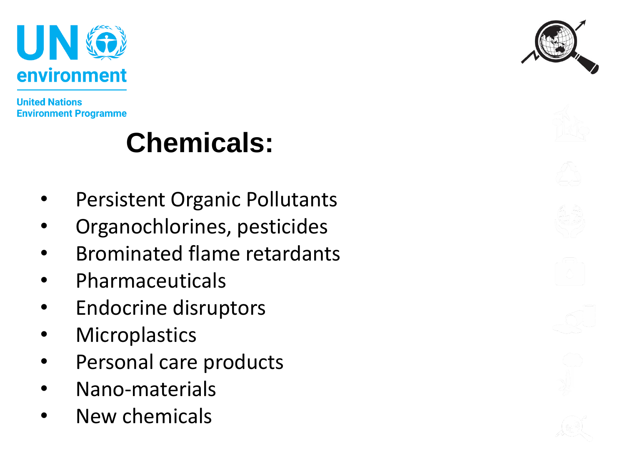

#### **Chemicals:**

- Persistent Organic Pollutants
- Organochlorines, pesticides
- Brominated flame retardants
- Pharmaceuticals
- Endocrine disruptors
- **Microplastics**
- Personal care products
- Nano-materials
- New chemicals

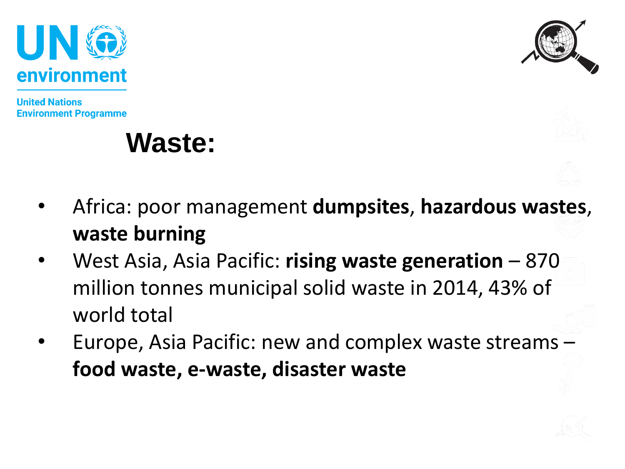



#### **Waste:**

- Africa: poor management **dumpsites**, **hazardous wastes**, **waste burning**
- West Asia, Asia Pacific: **rising waste generation**  870 million tonnes municipal solid waste in 2014, 43% of world total
- Europe, Asia Pacific: new and complex waste streams **food waste, e-waste, disaster waste**